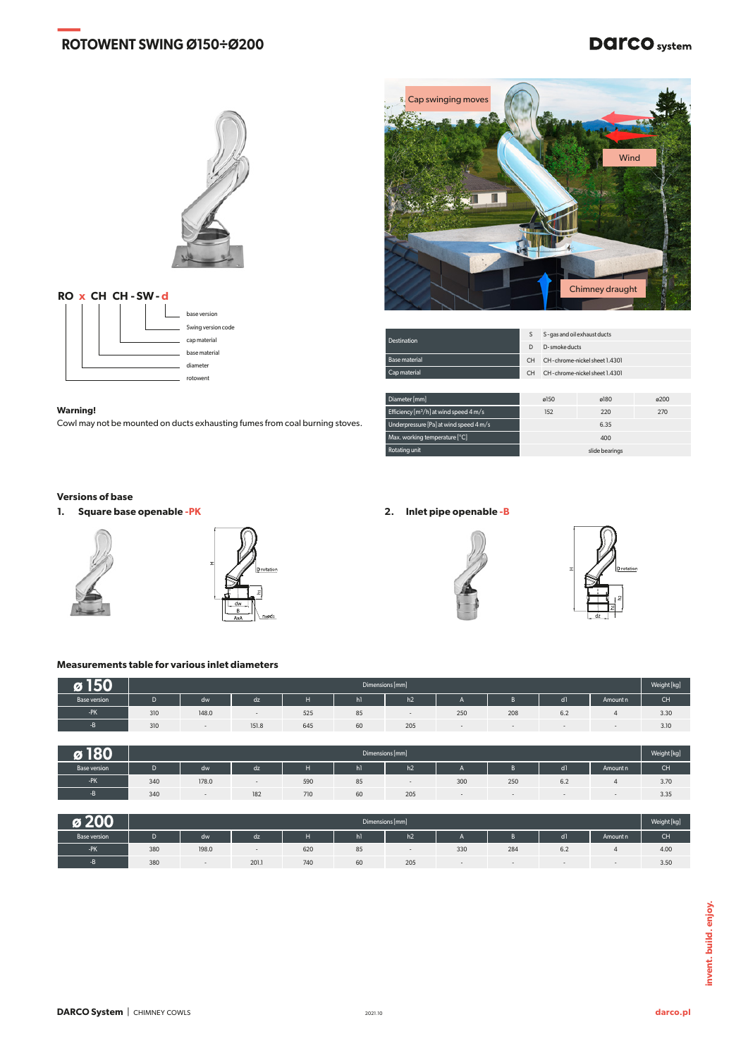# **— ROTOWENT SWING Ø150÷Ø200**

# **DATCO** system



### **RO x CH CH - SW- d** base version Swing version code cap material e material diameter rotowent



| <b>Destination</b>                                 |     | S-gas and oil exhaust ducts   |      |      |  |  |  |  |
|----------------------------------------------------|-----|-------------------------------|------|------|--|--|--|--|
|                                                    |     | D-smoke ducts                 |      |      |  |  |  |  |
| <b>Base material</b>                               | CH  | CH-chrome-nickel sheet 1.4301 |      |      |  |  |  |  |
| Cap material                                       | CH. | CH-chrome-nickel sheet 1.4301 |      |      |  |  |  |  |
|                                                    |     |                               |      |      |  |  |  |  |
| Diameter [mm]                                      |     | ø150                          | g180 | ø200 |  |  |  |  |
| Efficiency [m <sup>3</sup> /h] at wind speed 4 m/s |     | 152                           | 220  | 270  |  |  |  |  |
| Underpressure [Pa] at wind speed 4 m/s             |     |                               | 6.35 |      |  |  |  |  |

Max. working temperature [°C] 400

## **Warning!**

Cowl may not be mounted on ducts exhausting fumes from coal burning stoves.

#### **Versions of base**

**1. Square base openable -PK 2. Inlet pipe openable -B**









slide bearings

# **Measurements table for various inlet diameters**

|              | Dimensions [mm] |       |       |     |    |                |     |     |                      |          | Weight [kg] |
|--------------|-----------------|-------|-------|-----|----|----------------|-----|-----|----------------------|----------|-------------|
| Base version |                 | dw    | dz    |     | hl | h <sub>2</sub> |     |     | dl                   | Amount n | CH          |
| -PK          | 310             | 148.0 |       | 525 | 85 |                | 250 | 208 | $\sim$ $\sim$<br>6.2 |          | 3.30        |
|              | 310             |       | 151.8 | 645 | 60 | 205            |     |     |                      |          | 3.10        |

| IAA                 | Dimensions [mm] |       |     |     |    |     |     |     |                |          | Weight [kg] |
|---------------------|-----------------|-------|-----|-----|----|-----|-----|-----|----------------|----------|-------------|
| <b>Base version</b> |                 | dw    | dz  |     | hl | h2  |     |     | d <sub>1</sub> | Amount n | <b>CH</b>   |
| $-PK$               | 340             | 178.0 |     | 590 | 85 |     | 300 | 250 | 6.2            |          | 3.70        |
|                     | 340             |       | 182 | 710 | 60 | 205 |     |     |                |          | 3.35        |

| $\mathbf{A}$ | Dimensions [mm] |       |       |     |                |     |     |     |                      |          | Weight [kg] |
|--------------|-----------------|-------|-------|-----|----------------|-----|-----|-----|----------------------|----------|-------------|
| Base version |                 | dw    | dz    |     | h <sub>1</sub> | h2  |     |     | dl                   | Amount n | CH.         |
| -PK          | 380             | 198.0 |       | 620 | ၀၁             |     | 330 | 284 | $\sim$ $\sim$<br>6.2 |          | 4.00        |
|              | 380             |       | 201.1 | 740 | 60             | 205 |     |     |                      |          | 3.50        |